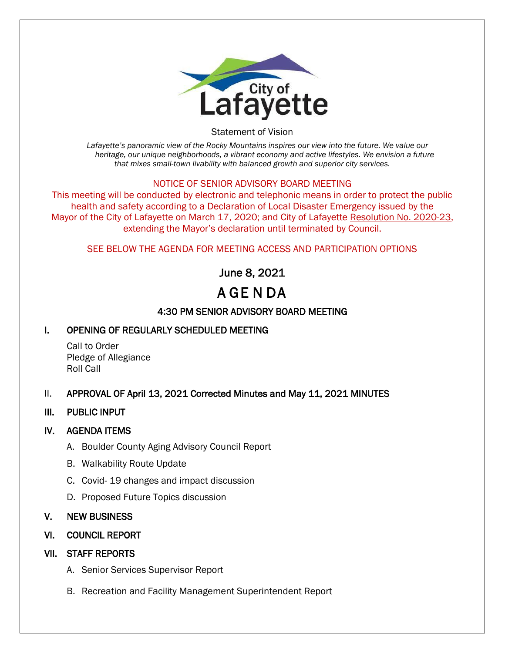

Statement of Vision

*Lafayette's panoramic view of the Rocky Mountains inspires our view into the future. We value our heritage, our unique neighborhoods, a vibrant economy and active lifestyles. We envision a future that mixes small-town livability with balanced growth and superior city services.*

## NOTICE OF SENIOR ADVISORY BOARD MEETING

This meeting will be conducted by electronic and telephonic means in order to protect the public health and safety according to a Declaration of Local Disaster Emergency issued by the Mayor of the City of Lafayette on March 17, 2020; and City of Lafayette Resolution No. 2020-23, extending the Mayor's declaration until terminated by Council.

## SEE BELOW THE AGENDA FOR MEETING ACCESS AND PARTICIPATION OPTIONS

June 8, 2021

# A GE N DA

# 4:30 PM SENIOR ADVISORY BOARD MEETING

## I. OPENING OF REGULARLY SCHEDULED MEETING

Call to Order Pledge of Allegiance Roll Call

## II. APPROVAL OF April 13, 2021 Corrected Minutes and May 11, 2021 MINUTES

## III. PUBLIC INPUT

## IV. AGENDA ITEMS

- A. Boulder County Aging Advisory Council Report
- B. Walkability Route Update
- C. Covid- 19 changes and impact discussion
- D. Proposed Future Topics discussion

## V. NEW BUSINESS

## VI. COUNCIL REPORT

# VII. STAFF REPORTS

- A. Senior Services Supervisor Report
- B. Recreation and Facility Management Superintendent Report